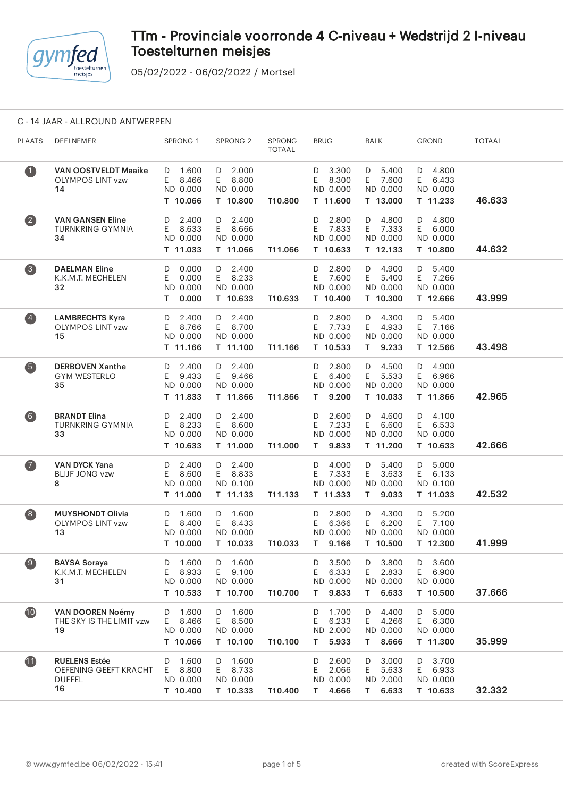

05/02/2022 - 06/02/2022 / Mortsel

#### C - 14 JAAR - ALLROUND ANTWERPEN

| <b>PLAATS</b>           | DEELNEMER                                                            | SPRONG 1                                             | SPRONG <sub>2</sub>                               | <b>SPRONG</b><br><b>TOTAAL</b> | <b>BRUG</b>                                         | <b>BALK</b>                                          | <b>GROND</b>                                      | <b>TOTAAL</b> |
|-------------------------|----------------------------------------------------------------------|------------------------------------------------------|---------------------------------------------------|--------------------------------|-----------------------------------------------------|------------------------------------------------------|---------------------------------------------------|---------------|
| $\bullet$               | <b>VAN OOSTVELDT Maaike</b><br><b>OLYMPOS LINT vzw</b><br>14         | 1.600<br>D<br>E.<br>8.466<br>ND 0.000<br>T 10.066    | $D = 2.000$<br>E 8.800<br>ND 0.000<br>T 10.800    | T10.800                        | 3.300<br>D<br>E.<br>8.300<br>ND 0.000<br>T 11.600   | $D = 5.400$<br>E.<br>7.600<br>ND 0.000<br>T 13.000   | 4.800<br>D<br>E<br>6.433<br>ND 0.000<br>T 11.233  | 46.633        |
| $\overline{\mathbf{2}}$ | <b>VAN GANSEN Eline</b><br><b>TURNKRING GYMNIA</b><br>34             | 2.400<br>D<br>8.633<br>E.<br>ND 0.000<br>T 11.033    | 2.400<br>D<br>E 8.666<br>ND 0.000<br>T 11.066     | T11.066                        | 2.800<br>D<br>7.833<br>E.<br>ND 0.000<br>T 10.633   | D 4.800<br>E 7.333<br>ND 0.000<br>T 12.133           | 4.800<br>D<br>E.<br>6.000<br>ND 0.000<br>T 10.800 | 44.632        |
| $\left( 3 \right)$      | <b>DAELMAN Eline</b><br>K.K.M.T. MECHELEN<br>32                      | 0.000<br>D<br>0.000<br>E.<br>ND 0.000<br>0.000<br>T. | $D = 2.400$<br>E 8.233<br>ND 0.000<br>T 10.633    | T10.633                        | 2.800<br>D<br>7.600<br>E.<br>ND 0.000<br>T 10.400   | D 4.900<br>5.400<br>E.<br>ND 0.000<br>T 10.300       | D 5.400<br>E 7.266<br>ND 0.000<br>T 12.666        | 43.999        |
| $\left( 4\right)$       | <b>LAMBRECHTS Kyra</b><br><b>OLYMPOS LINT vzw</b><br>15              | 2.400<br>D<br>E<br>8.766<br>ND 0.000<br>T 11.166     | D 2.400<br>E 8.700<br>ND 0.000<br>T 11.100        | T11.166                        | 2.800<br>D<br>E<br>7.733<br>ND 0.000<br>T 10.533    | D 4.300<br>E.<br>4.933<br>ND 0.000<br>9.233<br>T.    | 5.400<br>D<br>E<br>7.166<br>ND 0.000<br>T 12.566  | 43.498        |
| $\left(5\right)$        | <b>DERBOVEN Xanthe</b><br><b>GYM WESTERLO</b><br>35                  | 2.400<br>D<br>E.<br>9.433<br>ND 0.000<br>T 11.833    | $D = 2.400$<br>E 9.466<br>ND 0.000<br>T 11.866    | T11.866                        | 2.800<br>D<br>E<br>6.400<br>ND 0.000<br>9.200<br>Τ  | D 4.500<br>5.533<br>E.<br>ND 0.000<br>T 10.033       | 4.900<br>D<br>E.<br>6.966<br>ND 0.000<br>T 11.866 | 42.965        |
| $6$                     | <b>BRANDT Elina</b><br><b>TURNKRING GYMNIA</b><br>33                 | 2.400<br>D<br>8.233<br>E.<br>ND 0.000<br>T 10.633    | D 2.400<br>E 8.600<br>ND 0.000<br>T 11.000        | T11.000                        | 2.600<br>D<br>E<br>7.233<br>ND 0.000<br>9.833<br>T. | D 4.600<br>E.<br>6.600<br>ND 0.000<br>T 11.200       | D 4.100<br>6.533<br>E.<br>ND 0.000<br>T 10.633    | 42.666        |
| $\bullet$               | <b>VAN DYCK Yana</b><br><b>BLIJF JONG vzw</b><br>8                   | 2.400<br>D<br>E.<br>8.600<br>ND 0.000<br>T 11.000    | D 2.400<br>E 8.833<br>ND 0.100<br>T 11.133        | T11.133                        | 4.000<br>D<br>7.333<br>E<br>ND 0.000<br>T 11.333    | D 5.400<br>E.<br>3.633<br>ND 0.000<br>9.033<br>T.    | 5.000<br>D<br>E.<br>6.133<br>ND 0.100<br>T 11.033 | 42.532        |
| $\left( 8\right)$       | <b>MUYSHONDT Olivia</b><br><b>OLYMPOS LINT vzw</b><br>13             | 1.600<br>D<br>E<br>8.400<br>ND 0.000<br>T 10.000     | D 1.600<br>E 8.433<br>ND 0.000<br>T 10.033        | T10.033                        | 2.800<br>D<br>Ε<br>6.366<br>ND 0.000<br>T.<br>9.166 | D 4.300<br>6.200<br>E.<br>ND 0.000<br>T 10.500       | 5.200<br>D<br>E.<br>7.100<br>ND 0.000<br>T 12.300 | 41.999        |
| $\bullet$               | <b>BAYSA Soraya</b><br>K.K.M.T. MECHELEN<br>31                       | 1.600<br>D<br>Ε<br>8.933<br>ND 0.000<br>T 10.533     | D<br>1.600<br>E.<br>9.100<br>ND 0.000<br>T 10.700 | T10.700                        | 3.500<br>D<br>Ε<br>6.333<br>ND 0.000<br>9.833<br>T. | D<br>3.800<br>Ε<br>2.833<br>ND 0.000<br>6.633<br>T.  | 3.600<br>D<br>E<br>6.900<br>ND 0.000<br>T 10.500  | 37.666        |
| 10                      | <b>VAN DOOREN Noémy</b><br>THE SKY IS THE LIMIT vzw<br>19            | 1.600<br>D<br>E<br>8.466<br>ND 0.000<br>T 10.066     | 1.600<br>D<br>E.<br>8.500<br>ND 0.000<br>T 10.100 | T10.100                        | 1.700<br>D<br>Ε<br>6.233<br>ND 2.000<br>5.933<br>T. | 4.400<br>D<br>E.<br>4.266<br>ND 0.000<br>8.666<br>T. | 5.000<br>D<br>E.<br>6.300<br>ND 0.000<br>T 11.300 | 35.999        |
| 11                      | <b>RUELENS Estée</b><br>OEFENING GEEFT KRACHT<br><b>DUFFEL</b><br>16 | 1.600<br>D<br>8.800<br>E.<br>ND 0.000<br>T 10.400    | D<br>1.600<br>8.733<br>E.<br>ND 0.000<br>T 10.333 | T10.400                        | 2.600<br>D<br>Ε<br>2.066<br>ND 0.000<br>4.666<br>T. | D<br>3.000<br>E.<br>5.633<br>ND 2.000<br>6.633<br>T. | 3.700<br>D<br>6.933<br>E.<br>ND 0.000<br>T 10.633 | 32.332        |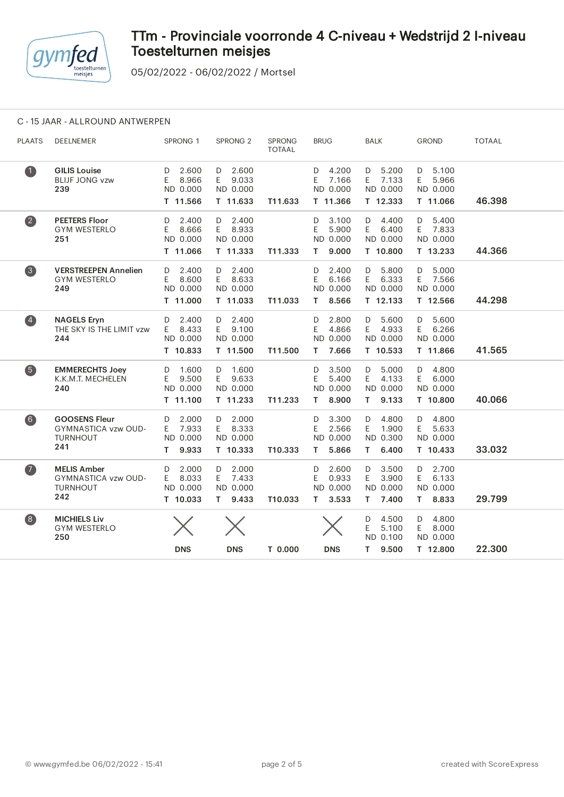

05/02/2022 - 06/02/2022 / Mortsel

### C - 15 JAAR - ALLROUND ANTWERPEN

| <b>PLAATS</b>           | <b>DEELNEMER</b>                                                      | SPRONG 1                                             | SPRONG <sub>2</sub>                               | SPRONG<br><b>TOTAAL</b> | <b>BRUG</b>                                         | <b>BALK</b>                                          | <b>GROND</b>                                         | <b>TOTAAL</b> |
|-------------------------|-----------------------------------------------------------------------|------------------------------------------------------|---------------------------------------------------|-------------------------|-----------------------------------------------------|------------------------------------------------------|------------------------------------------------------|---------------|
| $\bullet$               | <b>GILIS Louise</b><br><b>BLIJF JONG vzw</b><br>239                   | 2.600<br>D<br>8.966<br>E<br>ND 0.000<br>T 11.566     | 2.600<br>D<br>E.<br>9.033<br>ND 0.000<br>T 11.633 | T11.633                 | 4.200<br>D<br>E<br>7.166<br>ND 0.000<br>T 11.366    | 5.200<br>D<br>E<br>7.133<br>ND 0.000<br>T 12.333     | 5.100<br>D<br>E.<br>5.966<br>ND 0.000<br>T 11.066    | 46.398        |
| $\overline{\mathbf{2}}$ | <b>PEETERS Floor</b><br><b>GYM WESTERLO</b><br>251                    | 2.400<br>D<br>E<br>8.666<br>ND 0.000<br>T 11.066     | 2.400<br>D<br>E.<br>8.933<br>ND 0.000<br>T 11.333 | T11.333                 | 3.100<br>D<br>Ε<br>5.900<br>ND 0.000<br>9.000<br>T. | D<br>4.400<br>E<br>6.400<br>ND 0.000<br>T 10.800     | 5.400<br>D<br>E<br>7.833<br>ND 0.000<br>T 13.233     | 44.366        |
| $\bullet$               | <b>VERSTREEPEN Annelien</b><br><b>GYM WESTERLO</b><br>249             | 2.400<br>D<br>E.<br>8.600<br>ND 0.000<br>T 11.000    | 2.400<br>D<br>E.<br>8.633<br>ND 0.000<br>T 11.033 | T11.033                 | 2.400<br>D<br>E<br>6.166<br>ND 0.000<br>8.566<br>T. | 5.800<br>D<br>6.333<br>E.<br>ND 0.000<br>T 12.133    | 5.000<br>D<br>7.566<br>E.<br>ND 0.000<br>T 12.566    | 44.298        |
| $\overline{4}$          | <b>NAGELS Eryn</b><br>THE SKY IS THE LIMIT vzw<br>244                 | 2.400<br>D<br>8.433<br>E.<br>ND 0.000<br>T 10.833    | D 2.400<br>9.100<br>E.<br>ND 0.000<br>T 11.500    | T11.500                 | 2.800<br>D<br>4.866<br>E<br>ND 0.000<br>7.666<br>T. | 5.600<br>D<br>4.933<br>E.<br>ND 0.000<br>T 10.533    | 5.600<br>D<br>6.266<br>E.<br>ND 0.000<br>T 11.866    | 41.565        |
| 6                       | <b>EMMERECHTS Joey</b><br>K.K.M.T. MECHELEN<br>240                    | 1.600<br>D<br>9.500<br>E<br>ND 0.000<br>T 11.100     | 1.600<br>D<br>E.<br>9.633<br>ND 0.000<br>T 11.233 | T11.233                 | 3.500<br>D<br>Ε<br>5.400<br>ND 0.000<br>8.900<br>T. | D<br>5.000<br>E<br>4.133<br>ND 0.000<br>9.133<br>T.  | 4.800<br>D<br>6.000<br>E.<br>ND 0.000<br>T 10.800    | 40.066        |
| $6$                     | <b>GOOSENS Fleur</b><br>GYMNASTICA vzw OUD-<br><b>TURNHOUT</b><br>241 | 2.000<br>D<br>E.<br>7.933<br>ND 0.000<br>9.933<br>T. | 2.000<br>D<br>E.<br>8.333<br>ND 0.000<br>T 10.333 | T10.333                 | 3.300<br>D<br>Ε<br>2.566<br>ND 0.000<br>5.866<br>T. | D<br>4.800<br>E.<br>1.900<br>ND 0.300<br>6.400<br>T. | 4.800<br>D<br>E<br>5.633<br>ND 0.000<br>T 10.433     | 33.032        |
| $\bullet$               | <b>MELIS Amber</b><br>GYMNASTICA vzw OUD-<br><b>TURNHOUT</b><br>242   | 2.000<br>D<br>8.033<br>E.<br>ND 0.000<br>T 10.033    | 2.000<br>D<br>E 7.433<br>ND 0.000<br>9.433<br>T.  | T10.033                 | 2.600<br>D<br>0.933<br>Ε<br>ND 0.000<br>3.533<br>T. | D<br>3.500<br>3.900<br>E.<br>ND 0.000<br>7.400<br>T. | 2.700<br>D<br>6.133<br>E.<br>ND 0.000<br>T.<br>8.833 | 29.799        |
| $\left( 8\right)$       | <b>MICHIELS Liv</b><br><b>GYM WESTERLO</b><br>250                     | <b>DNS</b>                                           | <b>DNS</b>                                        | T 0.000                 | <b>DNS</b>                                          | 4.500<br>D<br>Ε<br>5.100<br>ND 0.100<br>9.500<br>T.  | 4.800<br>D<br>E.<br>8.000<br>ND 0.000<br>T 12.800    | 22.300        |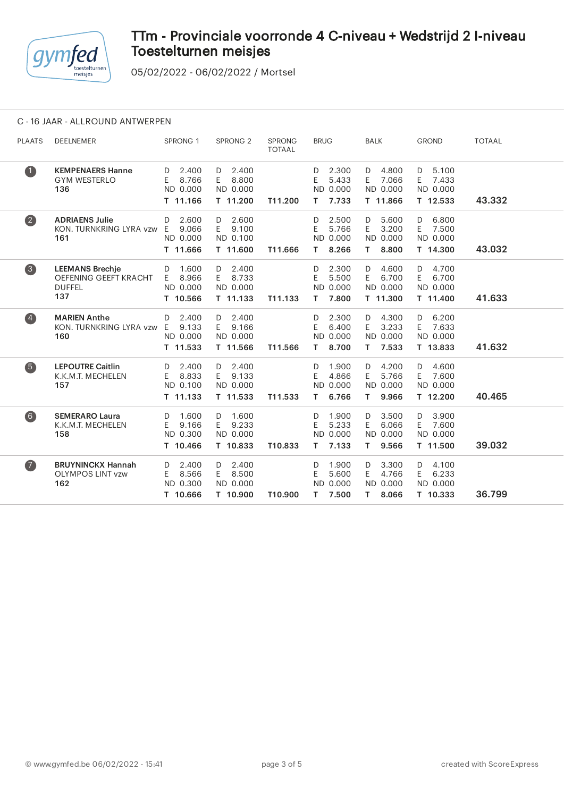

05/02/2022 - 06/02/2022 / Mortsel

### C - 16 JAAR - ALLROUND ANTWERPEN

| <b>PLAATS</b>           | <b>DEELNEMER</b>                                                        | SPRONG <sub>1</sub>                              | SPRONG <sub>2</sub>                               | <b>SPRONG</b><br><b>TOTAAL</b> | <b>BRUG</b>                                         | <b>BALK</b>                                         | <b>GROND</b>                                      | <b>TOTAAL</b> |
|-------------------------|-------------------------------------------------------------------------|--------------------------------------------------|---------------------------------------------------|--------------------------------|-----------------------------------------------------|-----------------------------------------------------|---------------------------------------------------|---------------|
| $\bullet$               | <b>KEMPENAERS Hanne</b><br><b>GYM WESTERLO</b><br>136                   | 2.400<br>D<br>8.766<br>Ε<br>ND 0.000<br>T 11.166 | 2.400<br>D<br>8.800<br>E.<br>ND 0.000<br>T 11.200 | T11.200                        | 2.300<br>D<br>5.433<br>Ε<br>ND 0.000<br>7.733<br>T. | 4.800<br>D<br>7.066<br>E.<br>ND 0.000<br>T 11.866   | 5.100<br>D<br>7.433<br>E.<br>ND 0.000<br>T 12.533 | 43.332        |
| $\overline{\mathbf{2}}$ | <b>ADRIAENS Julie</b><br>KON. TURNKRING LYRA vzw E<br>161               | 2.600<br>D<br>9.066<br>ND 0.000<br>T 11.666      | 2.600<br>D<br>9.100<br>E.<br>ND 0.100<br>T 11.600 | T11.666                        | 2.500<br>D<br>E<br>5.766<br>ND 0.000<br>8.266<br>T. | 5.600<br>D<br>E<br>3.200<br>ND 0.000<br>8.800<br>Τ. | 6.800<br>D<br>E<br>7.500<br>ND 0.000<br>T 14.300  | 43.032        |
| 3                       | <b>LEEMANS Brechje</b><br>OEFENING GEEFT KRACHT<br><b>DUFFEL</b><br>137 | 1.600<br>D<br>8.966<br>Ε<br>ND 0.000<br>T 10.566 | 2.400<br>D<br>E.<br>8.733<br>ND 0.000<br>T 11.133 | T11.133                        | 2.300<br>D<br>E<br>5.500<br>ND 0.000<br>7.800<br>т  | 4.600<br>D<br>E<br>6.700<br>ND 0.000<br>T 11.300    | 4.700<br>D<br>E<br>6.700<br>ND 0.000<br>T 11.400  | 41.633        |
| $\left( 4\right)$       | <b>MARIEN Anthe</b><br>KON. TURNKRING LYRA vzw<br>160                   | 2.400<br>D<br>E<br>9.133<br>ND 0.000<br>T 11.533 | 2.400<br>D<br>E<br>9.166<br>ND 0.000<br>T 11.566  | T11.566                        | 2.300<br>D<br>E<br>6.400<br>ND 0.000<br>8.700<br>Т. | 4.300<br>D<br>E<br>3.233<br>ND 0.000<br>7.533<br>т. | 6.200<br>D<br>E<br>7.633<br>ND 0.000<br>T 13.833  | 41.632        |
| 6                       | <b>LEPOUTRE Caitlin</b><br>K.K.M.T. MECHELEN<br>157                     | 2.400<br>D<br>E<br>8.833<br>ND 0.100<br>T 11.133 | 2.400<br>D<br>E<br>9.133<br>ND 0.000<br>T 11.533  | T11.533                        | 1.900<br>D<br>E<br>4.866<br>ND 0.000<br>6.766<br>T. | 4.200<br>D<br>E<br>5.766<br>ND 0.000<br>9.966<br>T. | 4.600<br>D<br>E<br>7.600<br>ND 0.000<br>T 12.200  | 40.465        |
| $6$                     | <b>SEMERARO Laura</b><br>K.K.M.T. MECHELEN<br>158                       | 1.600<br>D<br>Е<br>9.166<br>ND 0.300<br>T 10.466 | 1.600<br>D<br>9.233<br>E.<br>ND 0.000<br>T 10.833 | T10.833                        | 1.900<br>D<br>5.233<br>Ε<br>ND 0.000<br>7.133<br>T. | 3.500<br>D<br>E<br>6.066<br>ND 0.000<br>9.566<br>Τ. | 3.900<br>D<br>E<br>7.600<br>ND 0.000<br>T 11.500  | 39.032        |
| $\bullet$               | <b>BRUYNINCKX Hannah</b><br><b>OLYMPOS LINT vzw</b><br>162              | 2.400<br>D<br>8.566<br>Ε<br>ND 0.300<br>T 10.666 | 2.400<br>D<br>8.500<br>E.<br>ND 0.000<br>T 10.900 | T10.900                        | 1.900<br>D<br>E<br>5.600<br>ND 0.000<br>7.500<br>T. | 3.300<br>D<br>E<br>4.766<br>ND 0.000<br>8.066<br>Τ. | 4.100<br>D<br>E<br>6.233<br>ND 0.000<br>T 10.333  | 36.799        |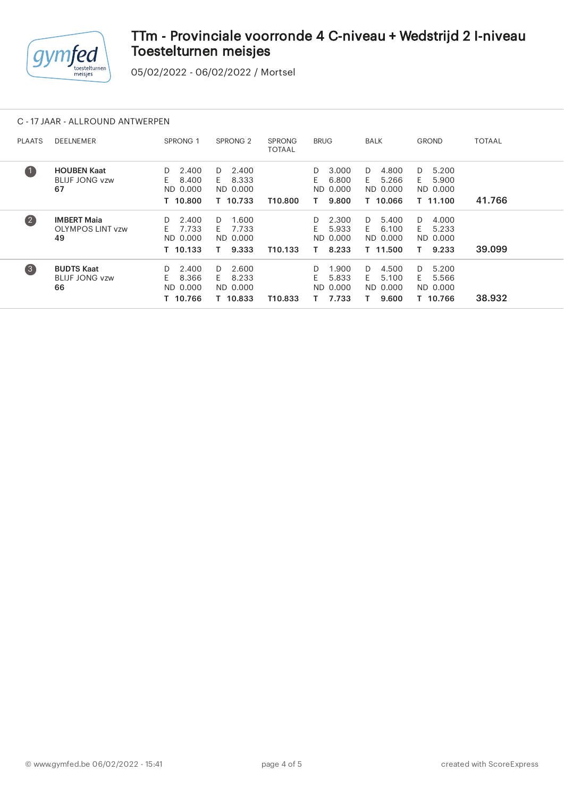

05/02/2022 - 06/02/2022 / Mortsel

### C - 17 JAAR - ALLROUND ANTWERPEN

| <b>PLAATS</b>     | <b>DEELNEMER</b>                                    | <b>SPRONG 1</b>                                    | SPRONG <sub>2</sub>                                | <b>SPRONG</b><br><b>TOTAAL</b> | <b>BRUG</b>                                          | BALK                                               | <b>GROND</b>                                          | <b>TOTAAL</b> |
|-------------------|-----------------------------------------------------|----------------------------------------------------|----------------------------------------------------|--------------------------------|------------------------------------------------------|----------------------------------------------------|-------------------------------------------------------|---------------|
| $\bullet$         | <b>HOUBEN Kaat</b><br><b>BLIJF JONG vzw</b><br>67   | 2.400<br>D<br>8.400<br>E.<br>ND 0.000<br>T 10.800  | 2.400<br>D.<br>8.333<br>F.<br>ND 0.000<br>T 10.733 | T10.800                        | 3.000<br>D<br>E.<br>6.800<br>ND 0.000<br>9.800       | 4.800<br>D.<br>5.266<br>F.<br>ND 0.000<br>T 10.066 | 5.200<br>D.<br>5.900<br>F.<br>ND 0.000<br>T 11.100    | 41.766        |
| $\left( 2\right)$ | <b>IMBERT Maia</b><br><b>OLYMPOS LINT vzw</b><br>49 | 2.400<br>D<br>7.733<br>E.<br>ND 0.000<br>T 10.133  | 1.600<br>D.<br>7.733<br>E.<br>ND 0.000<br>9.333    | T <sub>10.133</sub>            | 2.300<br>D<br>F.<br>5.933<br>ND 0.000<br>8.233<br>т. | 5.400<br>D.<br>6.100<br>F.<br>ND 0.000<br>T 11.500 | 4.000<br>D.<br>5.233<br>F.<br>ND 0.000<br>9.233<br>т. | 39.099        |
| $\left(3\right)$  | <b>BUDTS Kaat</b><br><b>BLIJF JONG vzw</b><br>66    | 2.400<br>D.<br>E.<br>8.366<br>ND 0.000<br>T 10.766 | 2.600<br>D.<br>8.233<br>F.<br>ND 0.000<br>T 10.833 | T10.833                        | 1.900<br>D.<br>F.<br>5.833<br>ND 0.000<br>7.733      | 4.500<br>D.<br>5.100<br>F.<br>ND 0.000<br>9.600    | 5.200<br>D.<br>F.<br>5.566<br>ND 0.000<br>T 10.766    | 38.932        |